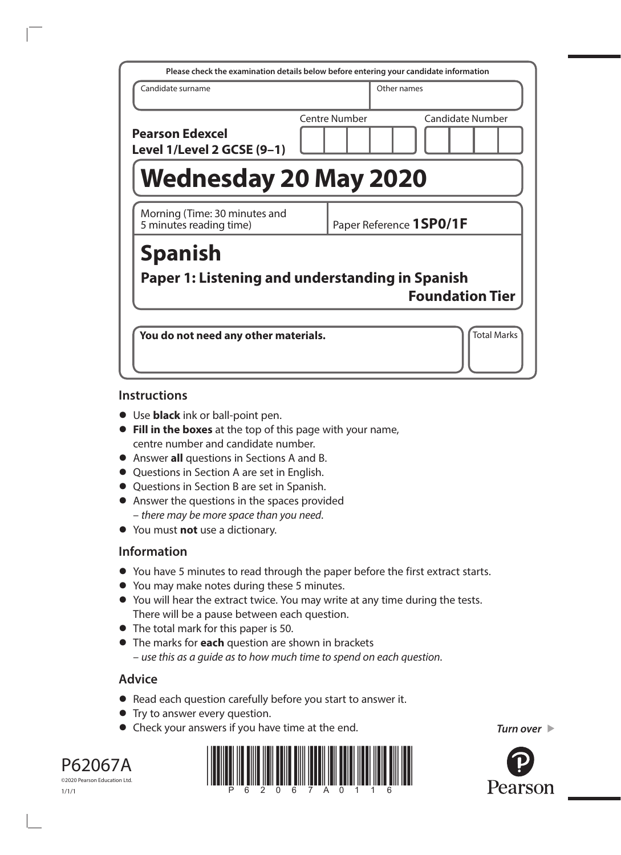|                                                                   | Please check the examination details below before entering your candidate information |
|-------------------------------------------------------------------|---------------------------------------------------------------------------------------|
| Candidate surname                                                 | Other names                                                                           |
| <b>Pearson Edexcel</b><br>Level 1/Level 2 GCSE (9-1)              | Centre Number<br>Candidate Number                                                     |
| <b>Wednesday 20 May 2020</b>                                      |                                                                                       |
| Morning (Time: 30 minutes and<br>5 minutes reading time)          | Paper Reference 1SP0/1F                                                               |
| <b>Spanish</b><br>Paper 1: Listening and understanding in Spanish | <b>Foundation Tier</b>                                                                |
| You do not need any other materials.                              | <b>Total Marks</b>                                                                    |

#### **Instructions**

- **•** Use **black** ink or ball-point pen.
- **• Fill in the boxes** at the top of this page with your name, centre number and candidate number.
- **•** Answer **all** questions in Sections A and B.
- **•** Questions in Section A are set in English.
- **•** Questions in Section B are set in Spanish.
- **•** Answer the questions in the spaces provided – *there may be more space than you need*.
- **•** You must **not** use a dictionary.

# **Information**

- **•** You have 5 minutes to read through the paper before the first extract starts.
- **•** You may make notes during these 5 minutes.
- **•** You will hear the extract twice. You may write at any time during the tests. There will be a pause between each question.
- **•** The total mark for this paper is 50.
- **•** The marks for **each** question are shown in brackets – *use this as a guide as to how much time to spend on each question*.

# **Advice**

- **•** Read each question carefully before you start to answer it.
- **•** Try to answer every question.
- **•** Check your answers if you have time at the end.

*Turn over* 





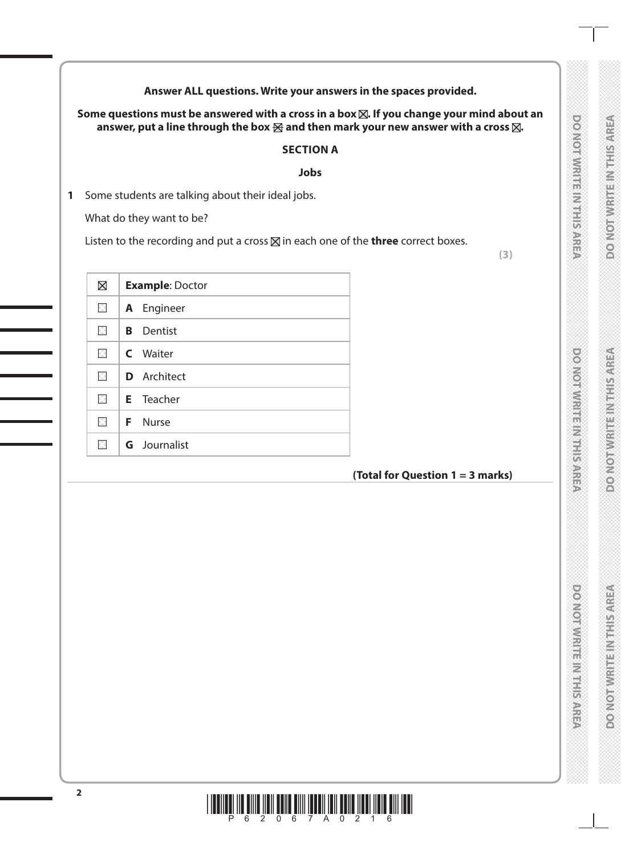#### **Answer ALL questions. Write your answers in the spaces provided.**

Some questions must be answered with a cross in a box  $\boxtimes$ . If you change your mind about an answer, put a line through the box  $\boxtimes$  and then mark your new answer with a cross  $\boxtimes$ .

#### **SECTION A**

#### **Jobs**

**1** Some students are talking about their ideal jobs.

What do they want to be?

Listen to the recording and put a cross  $\boxtimes$  in each one of the **three** correct boxes.

**(3)**

| $\boxtimes$ | <b>Example: Doctor</b> |
|-------------|------------------------|
| $\boxtimes$ | A Engineer             |
| $\boxtimes$ | Dentist<br>B           |
| $\times$    | <b>C</b> Waiter        |
| X           | <b>D</b> Architect     |
| $\times$    | <b>E</b> Teacher       |
| $\times$    | <b>F</b> Nurse         |
| $\times$    | <b>G</b> Journalist    |

# **(Total for Question 1 = 3 marks)**

**DO NOT WRITE IN THIS AREA**

DONOTWRITE IN THIS AREA

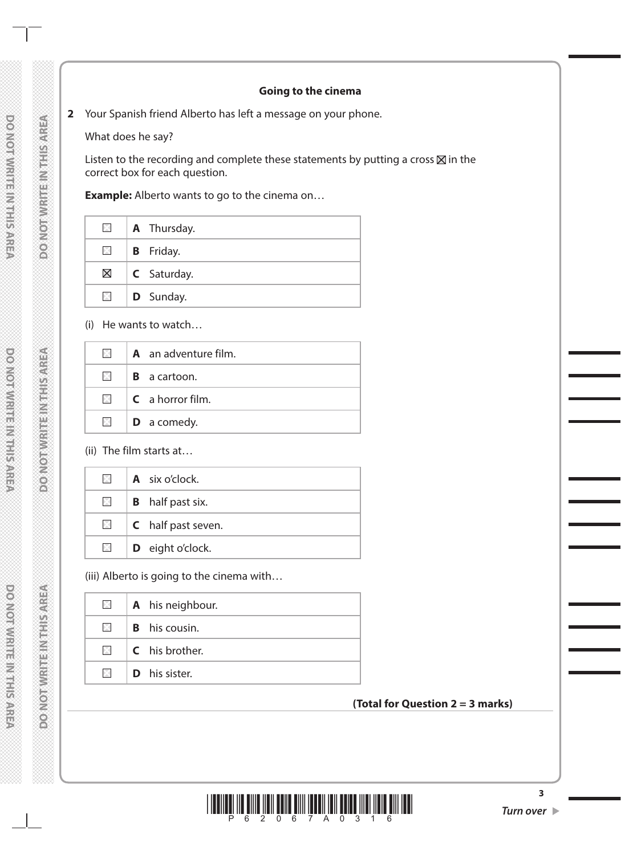#### **Going to the cinema**

#### **2** Your Spanish friend Alberto has left a message on your phone.

#### What does he say?

Listen to the recording and complete these statements by putting a cross  $\boxtimes$  in the correct box for each question.

**Example:** Alberto wants to go to the cinema on…

| $\mathbb{X}$                                        | A Thursday.        |
|-----------------------------------------------------|--------------------|
| $\mathbb{R}$                                        | <b>B</b> Friday.   |
| $\mathsf{X}% _{0}^{\ast}\!\left( \mathbf{1}\right)$ | <b>C</b> Saturday. |
| $\mathbb{Z}$                                        | <b>D</b> Sunday.   |

#### (i) He wants to watch…

| $\mathbb{R}$ | <b>A</b> an adventure film. |
|--------------|-----------------------------|
| $\mathbb{R}$ | <b>B</b> a cartoon.         |
| $\times$     | $C$ a horror film.          |
| $\mathbb{X}$ | <b>D</b> a comedy.          |

# (ii) The film starts at…

| $\mathbb{R}$ | A six o'clock.            |
|--------------|---------------------------|
| X.           | <b>B</b> half past six.   |
| $\mathbb{X}$ | <b>C</b> half past seven. |
| IXI.         | D eight o'clock.          |

(iii) Alberto is going to the cinema with…

| $\times$     | A his neighbour.     |
|--------------|----------------------|
| $\times$     | <b>B</b> his cousin. |
| $\times$ $-$ | C his brother.       |
| $\times$     | <b>D</b> his sister. |

# **(Total for Question 2 = 3 marks)**

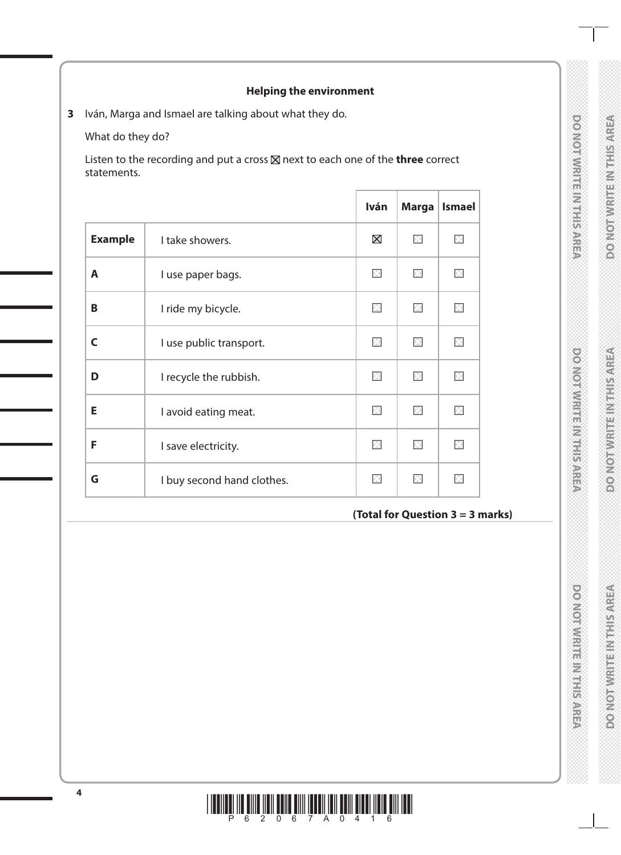# **DOMOTWRITEIN FIRSTER DO NOT WRITE IN THIS AREA**

# DONOTWRITE IN THIS AREA **DO NOT WRITE IN THIS AREA**

# **Helping the environment**

**3** Iván, Marga and Ismael are talking about what they do.

What do they do?

Listen to the recording and put a cross  $\times$  next to each one of the **three** correct statements.

|                |                            | Iván         | <b>Marga</b> | <b>Ismael</b> |
|----------------|----------------------------|--------------|--------------|---------------|
| <b>Example</b> | I take showers.            | $\boxtimes$  | $\times$     | $\boxtimes$   |
| A              | I use paper bags.          | X            | ⊠            | $\mathbb{X}$  |
| B              | I ride my bicycle.         | ×            | $\times$     | X             |
| C              | I use public transport.    | ×            | ×            | X             |
| D              | I recycle the rubbish.     | $\boxtimes$  | $\times$     | X             |
| E              | I avoid eating meat.       | X            | $\times$     | X             |
| F              | I save electricity.        | $\mathbb{R}$ | X            | X             |
| G              | I buy second hand clothes. | X            | X            | X             |

# **(Total for Question 3 = 3 marks)**

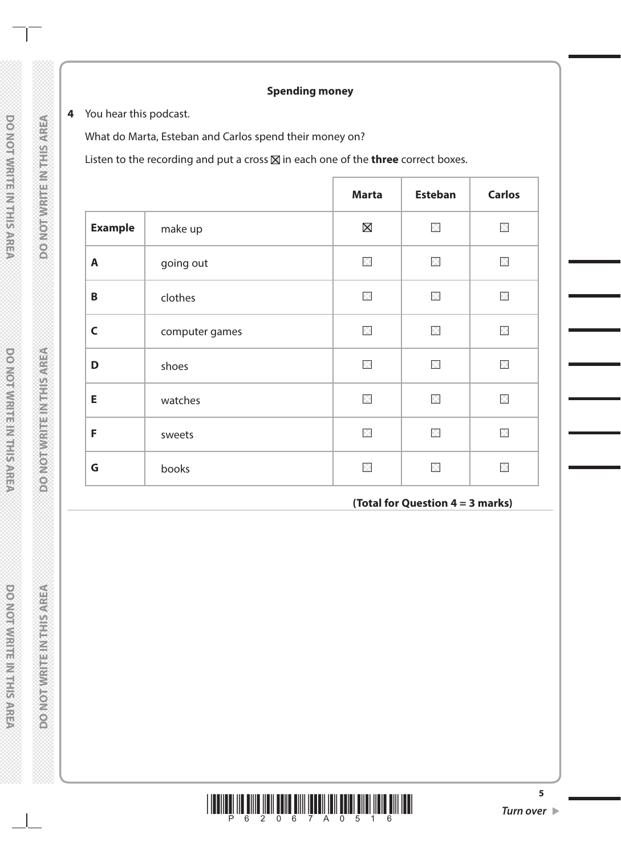#### **Spending money**

**4** You hear this podcast.

What do Marta, Esteban and Carlos spend their money on?

Listen to the recording and put a cross  $\boxtimes$  in each one of the **three** correct boxes.

|                |                | <b>Marta</b>      | <b>Esteban</b> | <b>Carlos</b> |
|----------------|----------------|-------------------|----------------|---------------|
| <b>Example</b> | make up        | $\bm{\mathsf{X}}$ | $\times$       | $\times$      |
| A              | going out      | $\boxtimes$       | $\boxtimes$    | $\times$      |
| $\mathbf B$    | clothes        | $\times$          | $\times$       | X             |
| $\mathsf{C}$   | computer games | $\boxtimes$       | $\times$       | X             |
| D              | shoes          | $\boxtimes$       | $\times$       | X             |
| E              | watches        | $\times$          | $\times$       | X             |
| F              | sweets         | $\boxtimes$       | $\boxtimes$    | X             |
| G              | books          | $\times$          | $\times$       | ×             |

**(Total for Question 4 = 3 marks)**

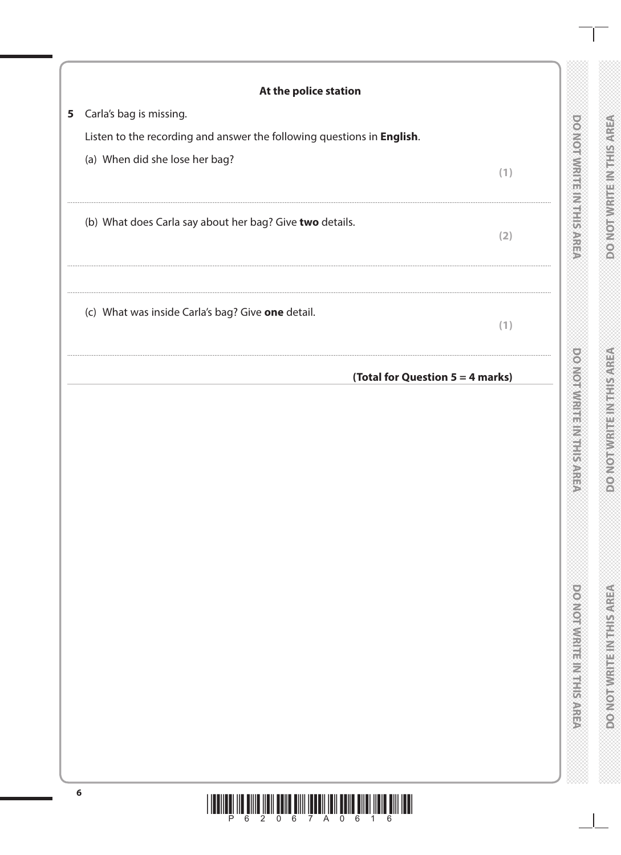| At the police station                                                  |                                  |
|------------------------------------------------------------------------|----------------------------------|
| Carla's bag is missing.                                                |                                  |
| Listen to the recording and answer the following questions in English. |                                  |
| (a) When did she lose her bag?                                         | (1)                              |
| (b) What does Carla say about her bag? Give two details.               | (2)                              |
| (c) What was inside Carla's bag? Give one detail.                      | (1)                              |
|                                                                        |                                  |
|                                                                        | (Total for Question 5 = 4 marks) |
|                                                                        |                                  |
|                                                                        |                                  |
|                                                                        |                                  |
|                                                                        |                                  |
|                                                                        |                                  |
|                                                                        |                                  |
|                                                                        |                                  |
|                                                                        |                                  |

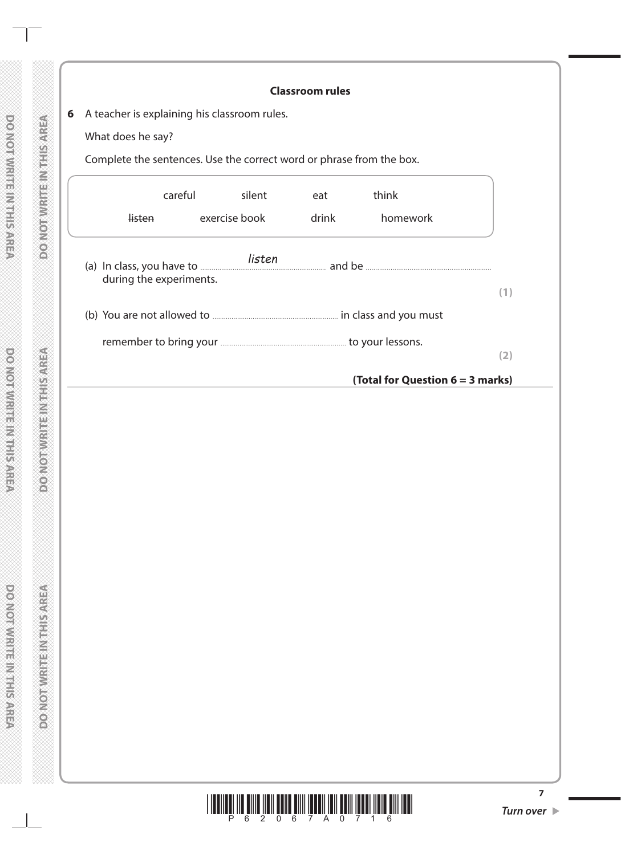|   |                                                                      | <b>Classroom rules</b>                                                                                                                                                                                                             |     |
|---|----------------------------------------------------------------------|------------------------------------------------------------------------------------------------------------------------------------------------------------------------------------------------------------------------------------|-----|
| 6 | A teacher is explaining his classroom rules.                         |                                                                                                                                                                                                                                    |     |
|   | What does he say?                                                    |                                                                                                                                                                                                                                    |     |
|   | Complete the sentences. Use the correct word or phrase from the box. |                                                                                                                                                                                                                                    |     |
|   | careful silent                                                       | think<br>eat                                                                                                                                                                                                                       |     |
|   | exercise book<br><u>listen base</u>                                  | drink<br>homework                                                                                                                                                                                                                  |     |
|   | during the experiments.                                              | (a) In class, you have to <i>listen</i> different and be manufactured as a product of the contract of the contract of the contract of the contract of the contract of the contract of the contract of the contract of the contract |     |
|   |                                                                      |                                                                                                                                                                                                                                    | (1) |
|   |                                                                      |                                                                                                                                                                                                                                    |     |
|   |                                                                      |                                                                                                                                                                                                                                    |     |
|   |                                                                      |                                                                                                                                                                                                                                    | (2) |
|   |                                                                      | (Total for Question 6 = 3 marks)                                                                                                                                                                                                   |     |

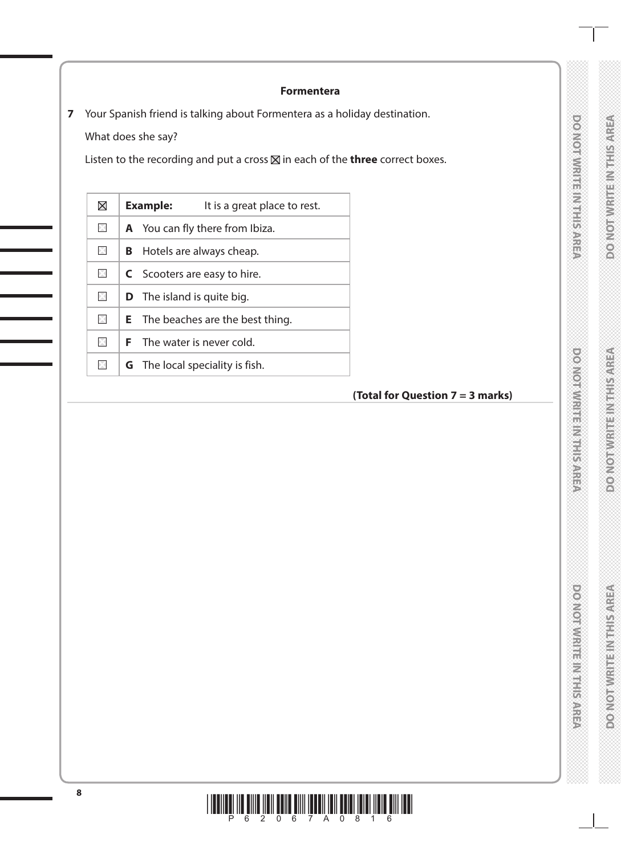**DO NOT WRITE IN THIS AREA** 

**DOMOTWRITEIN FIRSTER** 

**DO NOT WRITE IN THIS AREA**

DONOTWRITE IN THIS AREA

#### **Formentera**

**7** Your Spanish friend is talking about Formentera as a holiday destination.

What does she say?

Listen to the recording and put a cross  $\boxtimes$  in each of the **three** correct boxes.

| $\boxtimes$ | <b>Example:</b><br>It is a great place to rest. |  |
|-------------|-------------------------------------------------|--|
| $\boxtimes$ | <b>A</b> You can fly there from Ibiza.          |  |
| $\boxtimes$ | <b>B</b> Hotels are always cheap.               |  |
| $\boxtimes$ | <b>C</b> Scooters are easy to hire.             |  |
| $\boxtimes$ | <b>D</b> The island is quite big.               |  |
| X           | <b>E</b> The beaches are the best thing.        |  |
| ⊠           | <b>F</b> The water is never cold.               |  |
| ×           | <b>G</b> The local speciality is fish.          |  |

# **(Total for Question 7 = 3 marks)**

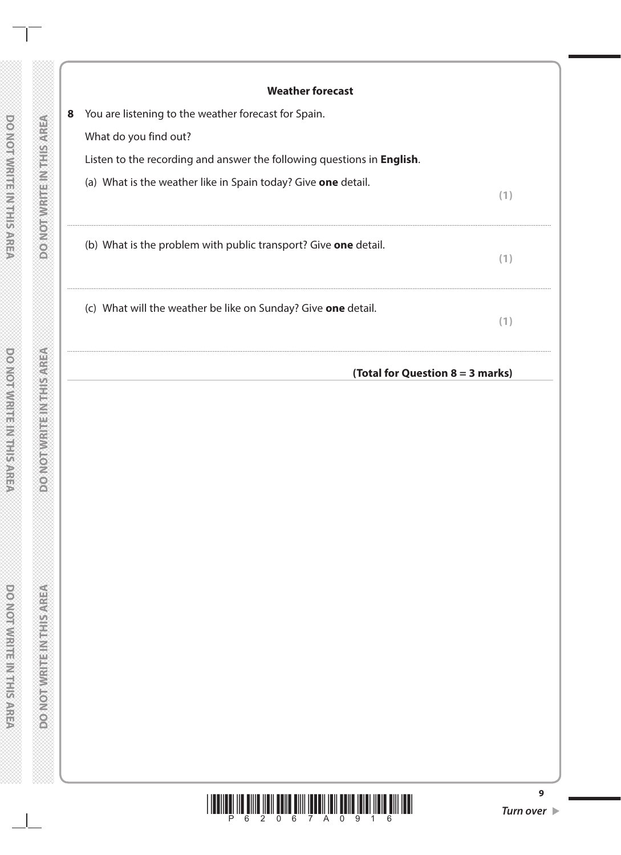|   | <b>Weather forecast</b>                                                        |
|---|--------------------------------------------------------------------------------|
| 8 | You are listening to the weather forecast for Spain.                           |
|   | What do you find out?                                                          |
|   | Listen to the recording and answer the following questions in <b>English</b> . |
|   | (a) What is the weather like in Spain today? Give one detail.                  |
|   | (1)                                                                            |
|   |                                                                                |
|   | (b) What is the problem with public transport? Give one detail.<br>(1)         |
|   |                                                                                |
|   | (c) What will the weather be like on Sunday? Give one detail.                  |
|   | (1)                                                                            |
|   |                                                                                |
|   | (Total for Question 8 = 3 marks)                                               |

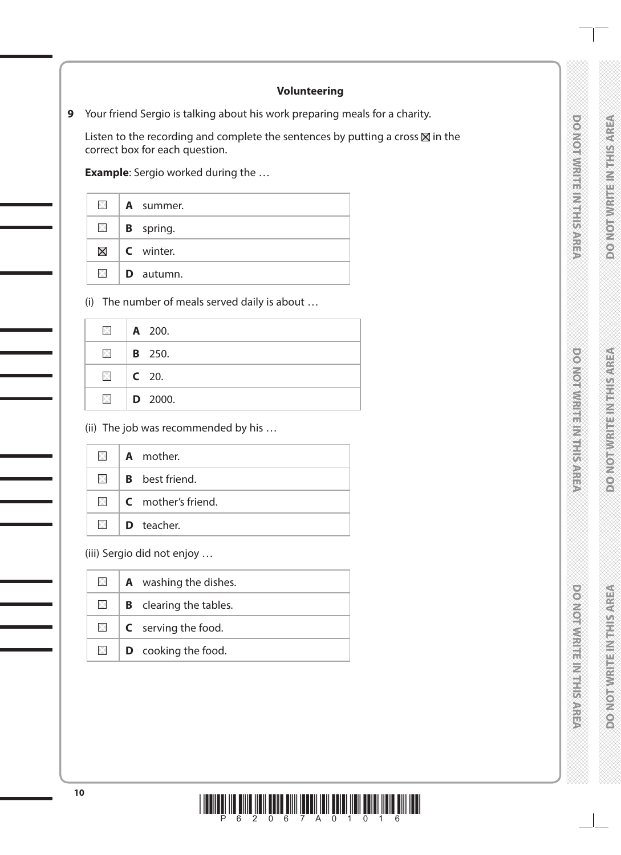**DO NOT WRITE IN THIS AREA** 

DO NOTWRITE IN THE AREA

# **Volunteering**

**9** Your friend Sergio is talking about his work preparing meals for a charity.

Listen to the recording and complete the sentences by putting a cross  $\times$  in the correct box for each question.

**Example**: Sergio worked during the …

| $\times^-$  | <b>A</b> summer.     |
|-------------|----------------------|
| $\boxtimes$ | <b>B</b> spring.     |
| $\boxtimes$ | $\mathsf{C}$ winter. |
| XI.         | <b>D</b> autumn.     |

(i) The number of meals served daily is about …

| $\times$     | A 200.         |
|--------------|----------------|
| - 13         | <b>B</b> 250.  |
| $\mathbb{R}$ | $C_{20}$       |
| $\times$     | <b>D</b> 2000. |

(ii) The job was recommended by his …

|                | $\boxtimes$   A mother.          |
|----------------|----------------------------------|
| $\mathsf{X}$ i | <b>B</b> best friend.            |
|                | $\Box$ <b>C</b> mother's friend. |
| $\mathsf{X}$ 1 | <b>D</b> teacher.                |

(iii) Sergio did not enjoy …

| $\boxtimes$ | <b>A</b> washing the dishes.   |
|-------------|--------------------------------|
| $\times$    | <b>B</b> clearing the tables.  |
| $\boxtimes$ | $\mathsf{C}$ serving the food. |
| $\times$    | <b>D</b> cooking the food.     |

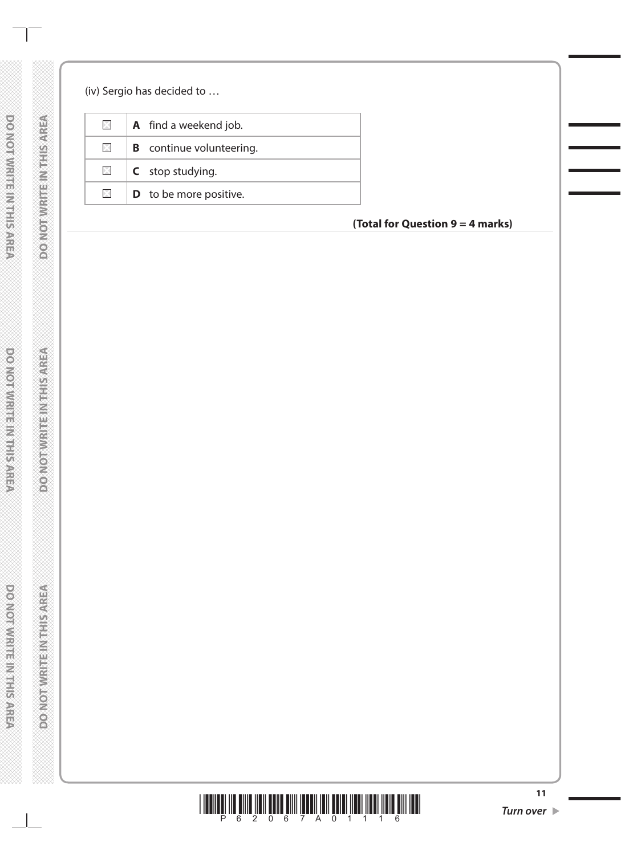# (iv) Sergio has decided to …

| $\mathbb{X}$<br><b>B</b> continue volunteering.<br><b>C</b> stop studying.<br>$\times$ | $\mathbb{R}$ | <b>A</b> find a weekend job.  |
|----------------------------------------------------------------------------------------|--------------|-------------------------------|
|                                                                                        |              |                               |
|                                                                                        |              |                               |
|                                                                                        | $\boxtimes$  | <b>D</b> to be more positive. |

**(Total for Question 9 = 4 marks)**

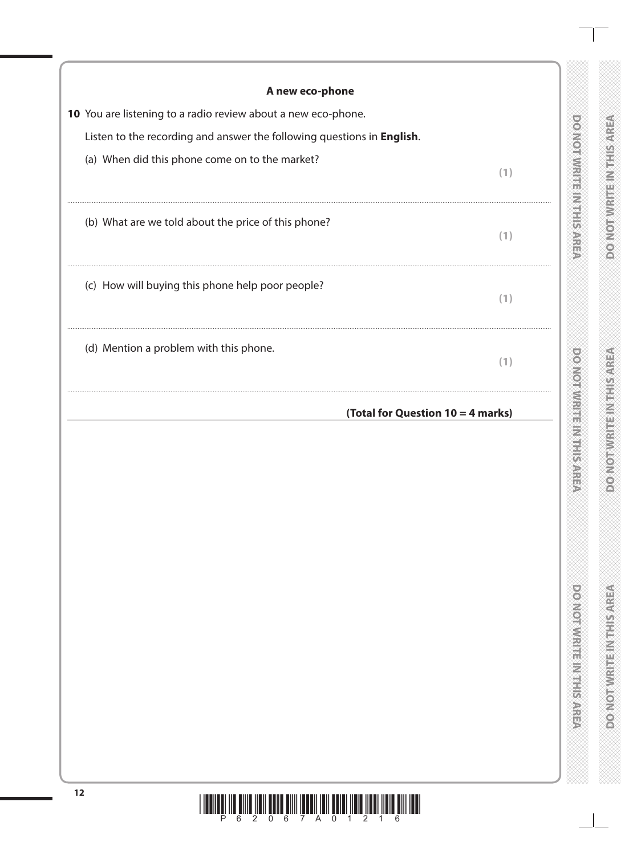| Listen to the recording and answer the following questions in English. |                                   |
|------------------------------------------------------------------------|-----------------------------------|
| (a) When did this phone come on to the market?                         | (1)                               |
| (b) What are we told about the price of this phone?                    | (1)                               |
| (c) How will buying this phone help poor people?                       | (1)                               |
| (d) Mention a problem with this phone.                                 | (1)                               |
|                                                                        | (Total for Question 10 = 4 marks) |



DO NOTWRITE MITHIE AREA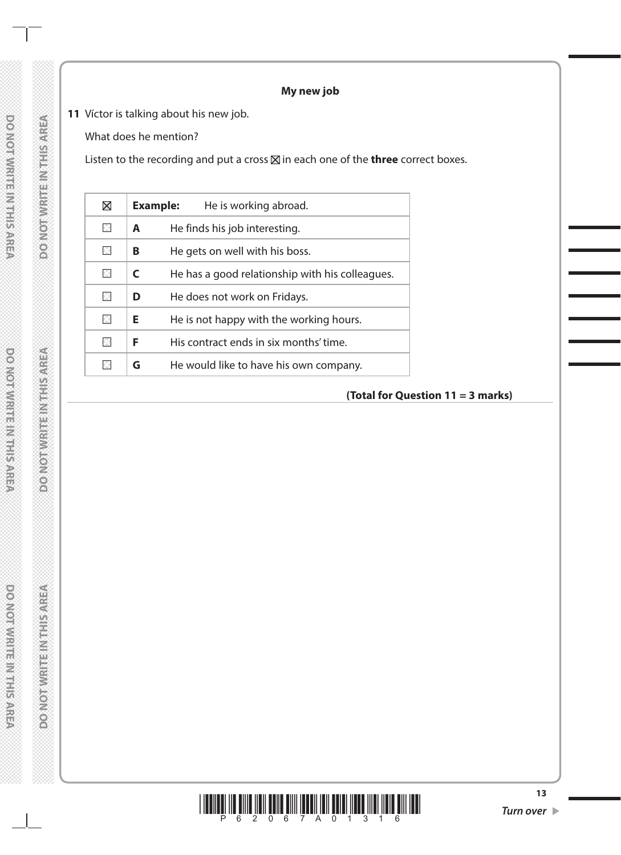#### **My new job**

**11** Víctor is talking about his new job.

What does he mention?

Listen to the recording and put a cross  $\boxtimes$  in each one of the **three** correct boxes.

| $\boxtimes$ | <b>Example:</b> | He is working abroad.                           |
|-------------|-----------------|-------------------------------------------------|
| ×           | A               | He finds his job interesting.                   |
| X           | В               | He gets on well with his boss.                  |
| $\times$    | C               | He has a good relationship with his colleagues. |
| $\times$    | D               | He does not work on Fridays.                    |
| $\times$    | Е               | He is not happy with the working hours.         |
| $\times$    | F               | His contract ends in six months' time.          |
| X           | G               | He would like to have his own company.          |
|             |                 |                                                 |

# **(Total for Question 11 = 3 marks)**

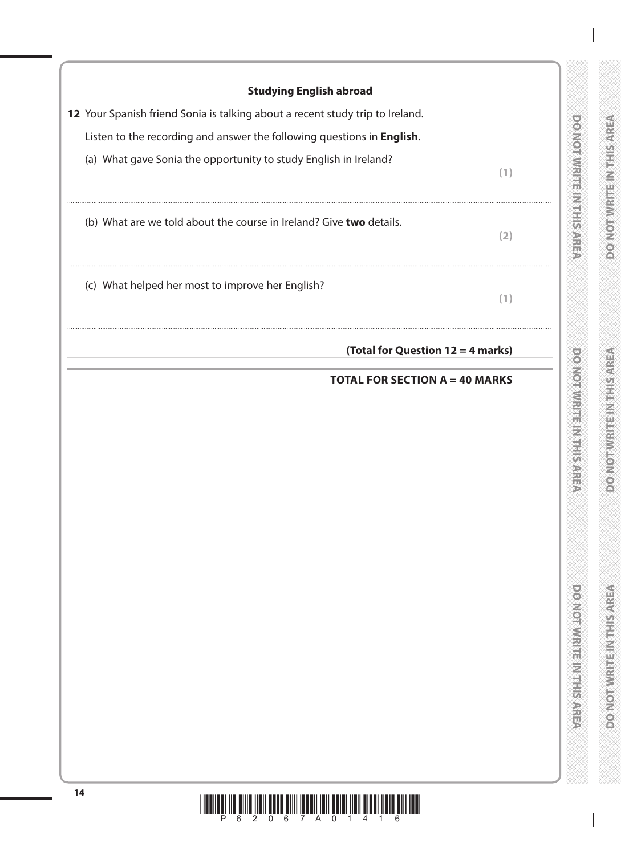| <b>Studying English abroad</b>                                                 |  |
|--------------------------------------------------------------------------------|--|
| 12 Your Spanish friend Sonia is talking about a recent study trip to Ireland.  |  |
| Listen to the recording and answer the following questions in <b>English</b> . |  |
| (a) What gave Sonia the opportunity to study English in Ireland?               |  |
| (b) What are we told about the course in Ireland? Give two details.            |  |
| (c) What helped her most to improve her English?                               |  |

# **(Total for Question 12 = 4 marks)**

# **TOTAL FOR SECTION A = 40 MARKS**

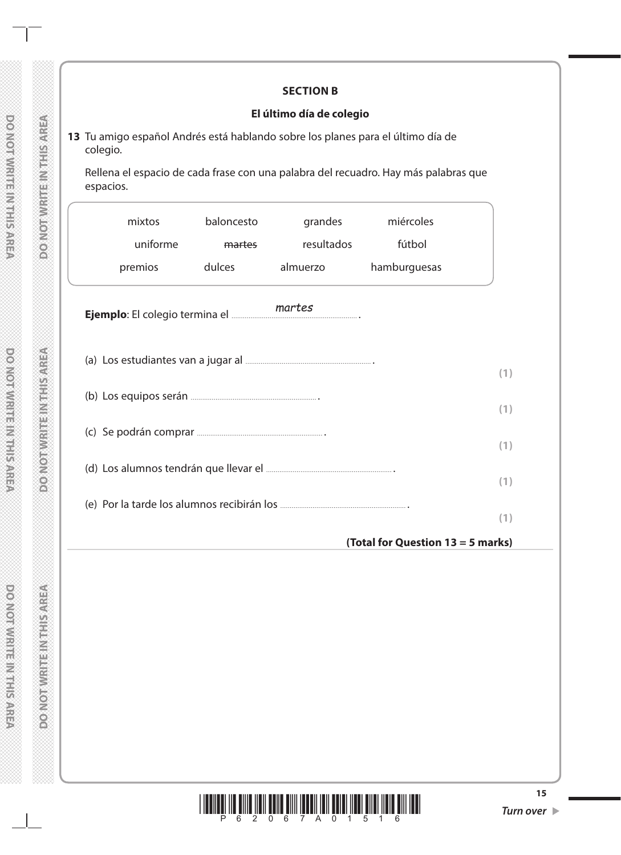#### **SECTION B**

#### **El último día de colegio**

**13** Tu amigo español Andrés está hablando sobre los planes para el último día de colegio.

Rellena el espacio de cada frase con una palabra del recuadro. Hay más palabras que espacios.

| mixtos<br>uniforme | baloncesto<br>martes | grandes<br>resultados | miércoles<br>fútbol               |     |
|--------------------|----------------------|-----------------------|-----------------------------------|-----|
| premios            | dulces               | almuerzo              | hamburguesas                      |     |
|                    |                      | martes                |                                   |     |
|                    |                      |                       |                                   | (1) |
|                    |                      |                       |                                   | (1) |
|                    |                      |                       |                                   | (1) |
|                    |                      |                       |                                   |     |
|                    |                      |                       |                                   | (1) |
|                    |                      |                       | (Total for Question 13 = 5 marks) | (1) |

**DO NOT WRITE INTHIS AREA**